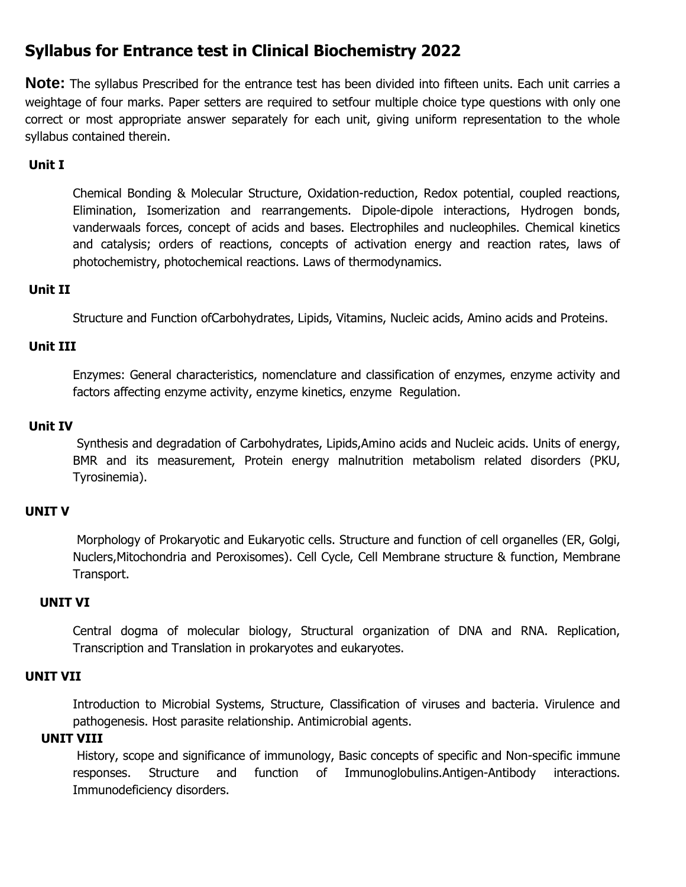# **Syllabus for Entrance test in Clinical Biochemistry 2022**

**Note:** The syllabus Prescribed for the entrance test has been divided into fifteen units. Each unit carries a weightage of four marks. Paper setters are required to setfour multiple choice type questions with only one correct or most appropriate answer separately for each unit, giving uniform representation to the whole syllabus contained therein.

# **Unit I**

Chemical Bonding & Molecular Structure, Oxidation-reduction, Redox potential, coupled reactions, Elimination, Isomerization and rearrangements. Dipole-dipole interactions, Hydrogen bonds, vanderwaals forces, concept of acids and bases. Electrophiles and nucleophiles. Chemical kinetics and catalysis; orders of reactions, concepts of activation energy and reaction rates, laws of photochemistry, photochemical reactions. Laws of thermodynamics.

## **Unit II**

Structure and Function ofCarbohydrates, Lipids, Vitamins, Nucleic acids, Amino acids and Proteins.

# **Unit III**

Enzymes: General characteristics, nomenclature and classification of enzymes, enzyme activity and factors affecting enzyme activity, enzyme kinetics, enzyme Regulation.

## **Unit IV**

Synthesis and degradation of Carbohydrates, Lipids,Amino acids and Nucleic acids. Units of energy, BMR and its measurement, Protein energy malnutrition metabolism related disorders (PKU, Tyrosinemia).

## **UNIT V**

Morphology of Prokaryotic and Eukaryotic cells. Structure and function of cell organelles (ER, Golgi, Nuclers,Mitochondria and Peroxisomes). Cell Cycle, Cell Membrane structure & function, Membrane Transport.

## **UNIT VI**

Central dogma of molecular biology, Structural organization of DNA and RNA. Replication, Transcription and Translation in prokaryotes and eukaryotes.

## **UNIT VII**

Introduction to Microbial Systems, Structure, Classification of viruses and bacteria. Virulence and pathogenesis. Host parasite relationship. Antimicrobial agents.

## **UNIT VIII**

History, scope and significance of immunology, Basic concepts of specific and Non-specific immune responses. Structure and function of Immunoglobulins.Antigen-Antibody interactions. Immunodeficiency disorders.